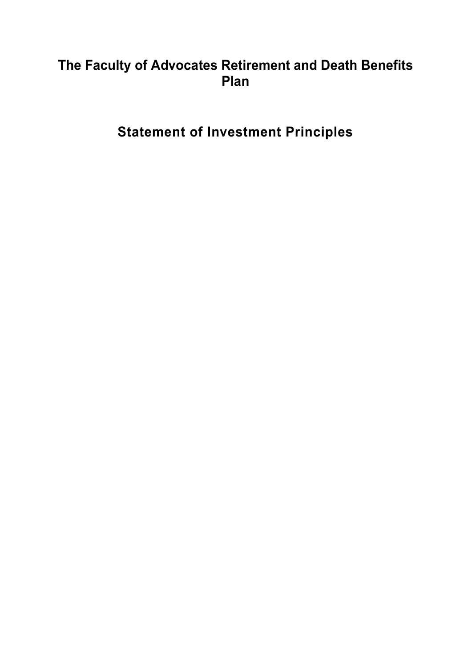# The Faculty of Advocates Retirement and Death Benefits Plan

Statement of Investment Principles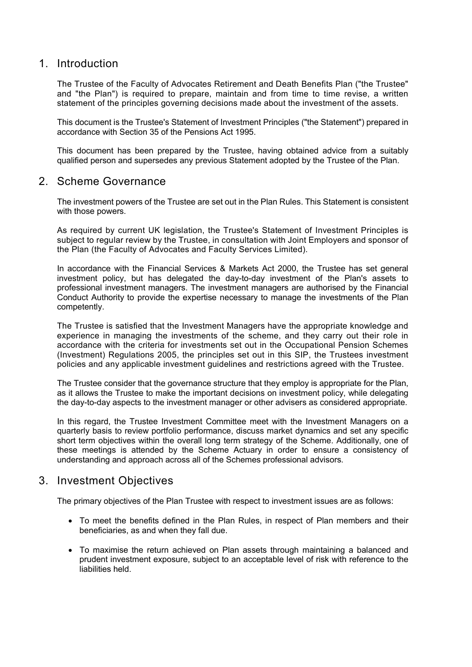# 1. Introduction

The Trustee of the Faculty of Advocates Retirement and Death Benefits Plan ("the Trustee" and "the Plan") is required to prepare, maintain and from time to time revise, a written statement of the principles governing decisions made about the investment of the assets.

This document is the Trustee's Statement of Investment Principles ("the Statement") prepared in accordance with Section 35 of the Pensions Act 1995.

This document has been prepared by the Trustee, having obtained advice from a suitably qualified person and supersedes any previous Statement adopted by the Trustee of the Plan.

### 2. Scheme Governance

The investment powers of the Trustee are set out in the Plan Rules. This Statement is consistent with those powers.

As required by current UK legislation, the Trustee's Statement of Investment Principles is subject to regular review by the Trustee, in consultation with Joint Employers and sponsor of the Plan (the Faculty of Advocates and Faculty Services Limited).

In accordance with the Financial Services & Markets Act 2000, the Trustee has set general investment policy, but has delegated the day-to-day investment of the Plan's assets to professional investment managers. The investment managers are authorised by the Financial Conduct Authority to provide the expertise necessary to manage the investments of the Plan competently.

The Trustee is satisfied that the Investment Managers have the appropriate knowledge and experience in managing the investments of the scheme, and they carry out their role in accordance with the criteria for investments set out in the Occupational Pension Schemes (Investment) Regulations 2005, the principles set out in this SIP, the Trustees investment policies and any applicable investment guidelines and restrictions agreed with the Trustee.

The Trustee consider that the governance structure that they employ is appropriate for the Plan, as it allows the Trustee to make the important decisions on investment policy, while delegating the day-to-day aspects to the investment manager or other advisers as considered appropriate.

In this regard, the Trustee Investment Committee meet with the Investment Managers on a quarterly basis to review portfolio performance, discuss market dynamics and set any specific short term objectives within the overall long term strategy of the Scheme. Additionally, one of these meetings is attended by the Scheme Actuary in order to ensure a consistency of understanding and approach across all of the Schemes professional advisors.

# 3. Investment Objectives

The primary objectives of the Plan Trustee with respect to investment issues are as follows:

- To meet the benefits defined in the Plan Rules, in respect of Plan members and their beneficiaries, as and when they fall due.
- To maximise the return achieved on Plan assets through maintaining a balanced and prudent investment exposure, subject to an acceptable level of risk with reference to the liabilities held.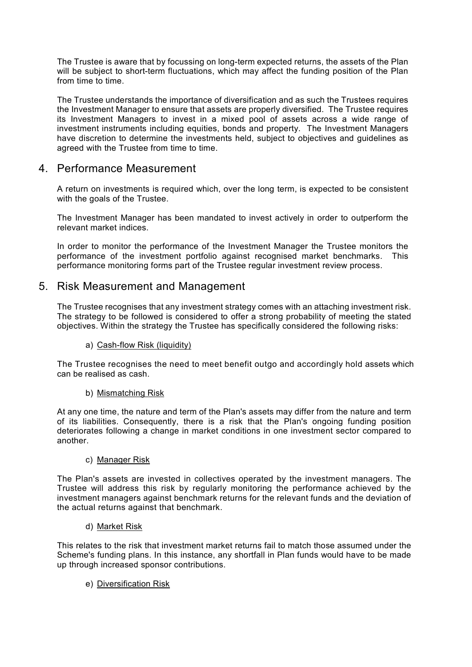The Trustee is aware that by focussing on long-term expected returns, the assets of the Plan will be subject to short-term fluctuations, which may affect the funding position of the Plan from time to time.

The Trustee understands the importance of diversification and as such the Trustees requires the Investment Manager to ensure that assets are properly diversified. The Trustee requires its Investment Managers to invest in a mixed pool of assets across a wide range of investment instruments including equities, bonds and property. The Investment Managers have discretion to determine the investments held, subject to objectives and guidelines as agreed with the Trustee from time to time.

# 4. Performance Measurement

A return on investments is required which, over the long term, is expected to be consistent with the goals of the Trustee.

The Investment Manager has been mandated to invest actively in order to outperform the relevant market indices.

In order to monitor the performance of the Investment Manager the Trustee monitors the performance of the investment portfolio against recognised market benchmarks. This performance monitoring forms part of the Trustee regular investment review process.

# 5. Risk Measurement and Management

The Trustee recognises that any investment strategy comes with an attaching investment risk. The strategy to be followed is considered to offer a strong probability of meeting the stated objectives. Within the strategy the Trustee has specifically considered the following risks:

### a) Cash-flow Risk (liquidity)

The Trustee recognises the need to meet benefit outgo and accordingly hold assets which can be realised as cash.

### b) Mismatching Risk

At any one time, the nature and term of the Plan's assets may differ from the nature and term of its liabilities. Consequently, there is a risk that the Plan's ongoing funding position deteriorates following a change in market conditions in one investment sector compared to another.

### c) Manager Risk

The Plan's assets are invested in collectives operated by the investment managers. The Trustee will address this risk by regularly monitoring the performance achieved by the investment managers against benchmark returns for the relevant funds and the deviation of the actual returns against that benchmark.

### d) Market Risk

This relates to the risk that investment market returns fail to match those assumed under the Scheme's funding plans. In this instance, any shortfall in Plan funds would have to be made up through increased sponsor contributions.

### e) Diversification Risk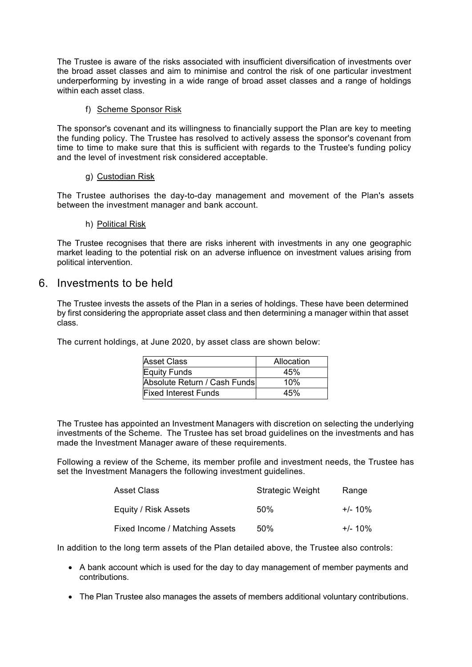The Trustee is aware of the risks associated with insufficient diversification of investments over the broad asset classes and aim to minimise and control the risk of one particular investment underperforming by investing in a wide range of broad asset classes and a range of holdings within each asset class.

### f) Scheme Sponsor Risk

The sponsor's covenant and its willingness to financially support the Plan are key to meeting the funding policy. The Trustee has resolved to actively assess the sponsor's covenant from time to time to make sure that this is sufficient with regards to the Trustee's funding policy and the level of investment risk considered acceptable.

#### g) Custodian Risk

The Trustee authorises the day-to-day management and movement of the Plan's assets between the investment manager and bank account.

#### h) Political Risk

The Trustee recognises that there are risks inherent with investments in any one geographic market leading to the potential risk on an adverse influence on investment values arising from political intervention.

### 6. Investments to be held

The Trustee invests the assets of the Plan in a series of holdings. These have been determined by first considering the appropriate asset class and then determining a manager within that asset class.

The current holdings, at June 2020, by asset class are shown below:

| Asset Class                  | Allocation |
|------------------------------|------------|
| Equity Funds                 | 45%        |
| Absolute Return / Cash Funds | 10%        |
| <b>Fixed Interest Funds</b>  | 45%        |

The Trustee has appointed an Investment Managers with discretion on selecting the underlying investments of the Scheme. The Trustee has set broad guidelines on the investments and has made the Investment Manager aware of these requirements.

Following a review of the Scheme, its member profile and investment needs, the Trustee has set the Investment Managers the following investment guidelines.

| Asset Class                    | Strategic Weight | Range      |
|--------------------------------|------------------|------------|
| Equity / Risk Assets           | 50%              | $+/- 10\%$ |
| Fixed Income / Matching Assets | 50%              | $+/- 10%$  |

In addition to the long term assets of the Plan detailed above, the Trustee also controls:

- A bank account which is used for the day to day management of member payments and contributions.
- The Plan Trustee also manages the assets of members additional voluntary contributions.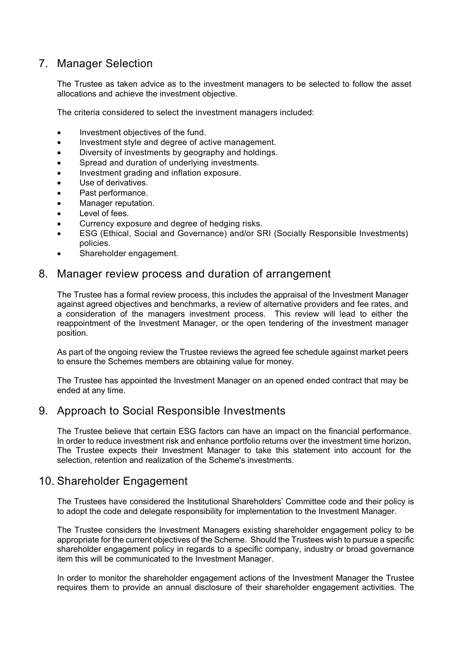# 7. Manager Selection

The Trustee as taken advice as to the investment managers to be selected to follow the asset allocations and achieve the investment objective.

The criteria considered to select the investment managers included:

- Investment objectives of the fund.
- Investment style and degree of active management.
- Diversity of investments by geography and holdings.
- Spread and duration of underlying investments.
- Investment grading and inflation exposure.
- Use of derivatives.
- Past performance.
- Manager reputation.
- Level of fees.
- Currency exposure and degree of hedging risks.
- ESG (Ethical, Social and Governance) and/or SRI (Socially Responsible Investments) policies.
- Shareholder engagement.

# 8. Manager review process and duration of arrangement

The Trustee has a formal review process, this includes the appraisal of the Investment Manager against agreed objectives and benchmarks, a review of alternative providers and fee rates, and a consideration of the managers investment process. This review will lead to either the reappointment of the Investment Manager, or the open tendering of the investment manager position.

As part of the ongoing review the Trustee reviews the agreed fee schedule against market peers to ensure the Schemes members are obtaining value for money.

The Trustee has appointed the Investment Manager on an opened ended contract that may be ended at any time.

# 9. Approach to Social Responsible Investments

The Trustee believe that certain ESG factors can have an impact on the financial performance. In order to reduce investment risk and enhance portfolio returns over the investment time horizon, The Trustee expects their Investment Manager to take this statement into account for the selection, retention and realization of the Scheme's investments.

### 10. Shareholder Engagement

The Trustees have considered the Institutional Shareholders' Committee code and their policy is to adopt the code and delegate responsibility for implementation to the Investment Manager.

The Trustee considers the Investment Managers existing shareholder engagement policy to be appropriate for the current objectives of the Scheme. Should the Trustees wish to pursue a specific shareholder engagement policy in regards to a specific company, industry or broad governance item this will be communicated to the Investment Manager.

In order to monitor the shareholder engagement actions of the Investment Manager the Trustee requires them to provide an annual disclosure of their shareholder engagement activities. The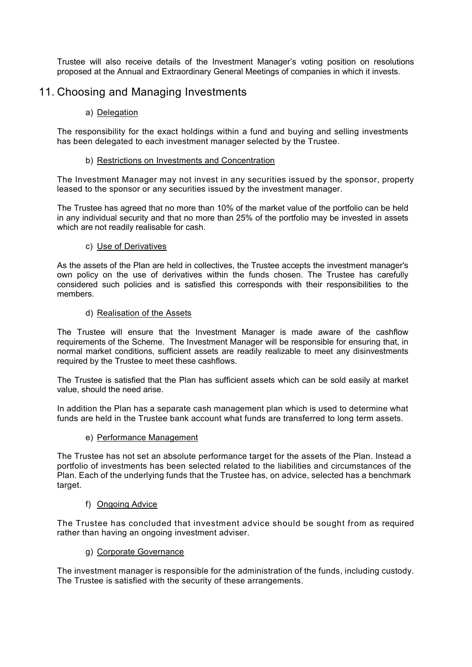Trustee will also receive details of the Investment Manager's voting position on resolutions proposed at the Annual and Extraordinary General Meetings of companies in which it invests.

# 11. Choosing and Managing Investments

### a) Delegation

The responsibility for the exact holdings within a fund and buying and selling investments has been delegated to each investment manager selected by the Trustee.

### b) Restrictions on Investments and Concentration

The Investment Manager may not invest in any securities issued by the sponsor, property leased to the sponsor or any securities issued by the investment manager.

The Trustee has agreed that no more than 10% of the market value of the portfolio can be held in any individual security and that no more than 25% of the portfolio may be invested in assets which are not readily realisable for cash.

### c) Use of Derivatives

As the assets of the Plan are held in collectives, the Trustee accepts the investment manager's own policy on the use of derivatives within the funds chosen. The Trustee has carefully considered such policies and is satisfied this corresponds with their responsibilities to the members.

### d) Realisation of the Assets

The Trustee will ensure that the Investment Manager is made aware of the cashflow requirements of the Scheme. The Investment Manager will be responsible for ensuring that, in normal market conditions, sufficient assets are readily realizable to meet any disinvestments required by the Trustee to meet these cashflows.

The Trustee is satisfied that the Plan has sufficient assets which can be sold easily at market value, should the need arise.

In addition the Plan has a separate cash management plan which is used to determine what funds are held in the Trustee bank account what funds are transferred to long term assets.

### e) Performance Management

The Trustee has not set an absolute performance target for the assets of the Plan. Instead a portfolio of investments has been selected related to the liabilities and circumstances of the Plan. Each of the underlying funds that the Trustee has, on advice, selected has a benchmark target.

### f) Ongoing Advice

The Trustee has concluded that investment advice should be sought from as required rather than having an ongoing investment adviser.

### g) Corporate Governance

The investment manager is responsible for the administration of the funds, including custody. The Trustee is satisfied with the security of these arrangements.